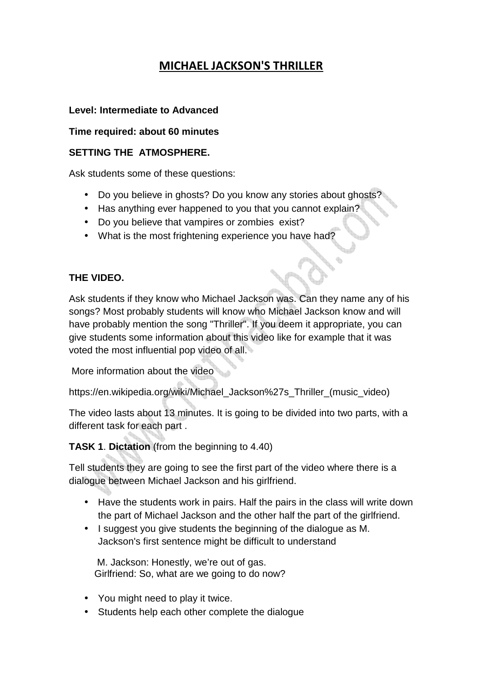# **MICHAEL JACKSON'S THRILLER**

#### **Level: Intermediate to Advanced**

#### **Time required: about 60 minutes**

#### **SETTING THE ATMOSPHERE.**

Ask students some of these questions:

- Do you believe in ghosts? Do you know any stories about ghosts?
- Has anything ever happened to you that you cannot explain?
- Do you believe that vampires or zombies exist?
- What is the most frightening experience you have had?

## **THE VIDEO.**

Ask students if they know who Michael Jackson was. Can they name any of his songs? Most probably students will know who Michael Jackson know and will have probably mention the song "Thriller". If you deem it appropriate, you can give students some information about this video like for example that it was voted the most influential pop video of all.

More information about the video

https://en.wikipedia.org/wiki/Michael\_Jackson%27s\_Thriller\_(music\_video)

The video lasts about 13 minutes. It is going to be divided into two parts, with a different task for each part .

## **TASK 1**. **Dictation** (from the beginning to 4.40)

Tell students they are going to see the first part of the video where there is a dialogue between Michael Jackson and his girlfriend.

- Have the students work in pairs. Half the pairs in the class will write down the part of Michael Jackson and the other half the part of the girlfriend.
- I suggest you give students the beginning of the dialogue as M. Jackson's first sentence might be difficult to understand

 M. Jackson: Honestly, we're out of gas. Girlfriend: So, what are we going to do now?

- You might need to play it twice.
- Students help each other complete the dialogue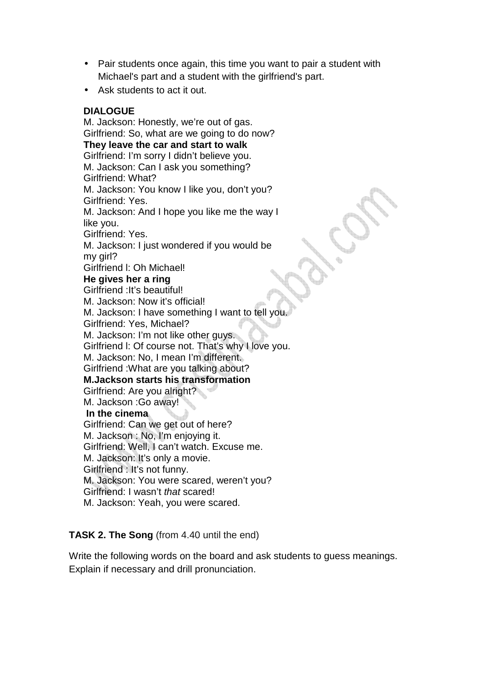- Pair students once again, this time you want to pair a student with Michael's part and a student with the girlfriend's part.
- Ask students to act it out.

# **DIALOGUE**

M. Jackson: Honestly, we're out of gas. Girlfriend: So, what are we going to do now? **They leave the car and start to walk**  Girlfriend: I'm sorry I didn't believe you. M. Jackson: Can I ask you something? Girlfriend: What? M. Jackson: You know I like you, don't you? Girlfriend: Yes. M. Jackson: And I hope you like me the way I like you. Girlfriend: Yes. M. Jackson: I just wondered if you would be my girl? Girlfriend l: Oh Michael! **He gives her a ring**  Girlfriend :It's beautiful! M. Jackson: Now it's official! M. Jackson: I have something I want to tell you. Girlfriend: Yes, Michael? M. Jackson: I'm not like other guys. Girlfriend l: Of course not. That's why I love you. M. Jackson: No, I mean I'm different. Girlfriend :What are you talking about? **M.Jackson starts his transformation**  Girlfriend: Are you alright? M. Jackson :Go away!  **In the cinema**  Girlfriend: Can we get out of here? M. Jackson : No, I'm enjoying it. Girlfriend: Well, I can't watch. Excuse me. M. Jackson: It's only a movie. Girlfriend : It's not funny. M. Jackson: You were scared, weren't you? Girlfriend: I wasn't that scared! M. Jackson: Yeah, you were scared.

## **TASK 2. The Song** (from 4.40 until the end)

Write the following words on the board and ask students to guess meanings. Explain if necessary and drill pronunciation.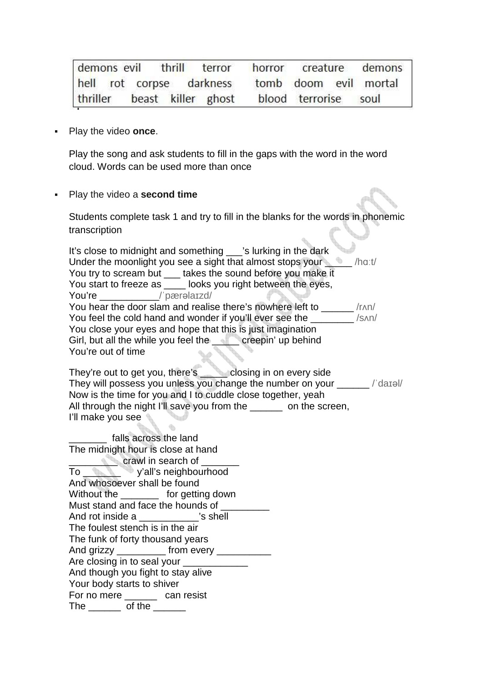| demons evil thrill terror horror creature demons |  |  |  |  |
|--------------------------------------------------|--|--|--|--|
| hell rot corpse darkness tomb doom evil mortal   |  |  |  |  |
| thriller beast killer ghost blood terrorise soul |  |  |  |  |

Play the video **once**.

Play the song and ask students to fill in the gaps with the word in the word cloud. Words can be used more than once

Play the video a **second time**

Students complete task 1 and try to fill in the blanks for the words in phonemic transcription

It's close to midnight and something \_\_\_'s lurking in the dark Under the moonlight you see a sight that almost stops your **the moonlight you see a sight that almost stops your** You try to scream but \_\_\_ takes the sound before you make it You start to freeze as \_\_\_\_ looks you right between the eyes, You're \_\_\_\_\_\_\_\_\_\_\_/ˈpærəlaɪzd/ You hear the door slam and realise there's nowhere left to  $\frac{1}{2}$  /rʌn/ You feel the cold hand and wonder if you'll ever see the \_\_\_\_\_\_\_\_\_ /sʌn/ You close your eyes and hope that this is just imagination Girl, but all the while you feel the creepin' up behind You're out of time

They're out to get you, there's closing in on every side They will possess you unless you change the number on your \_\_\_\_\_\_ /ˈdaɪəl/ Now is the time for you and I to cuddle close together, yeah All through the night I'll save you from the screen, I'll make you see

| _________ falls across the land                 |  |  |  |  |  |
|-------------------------------------------------|--|--|--|--|--|
| The midnight hour is close at hand              |  |  |  |  |  |
| crawl in search of ____                         |  |  |  |  |  |
| To y'all's neighbourhood                        |  |  |  |  |  |
| And whosoever shall be found                    |  |  |  |  |  |
| Without the _________ for getting down          |  |  |  |  |  |
| Must stand and face the hounds of               |  |  |  |  |  |
| And rot inside a ___________'s shell            |  |  |  |  |  |
| The foulest stench is in the air                |  |  |  |  |  |
| The funk of forty thousand years                |  |  |  |  |  |
| And grizzy ____________ from every ____________ |  |  |  |  |  |
| Are closing in to seal your _____________       |  |  |  |  |  |
| And though you fight to stay alive              |  |  |  |  |  |
| Your body starts to shiver                      |  |  |  |  |  |
| For no mere can resist                          |  |  |  |  |  |
| The of the                                      |  |  |  |  |  |